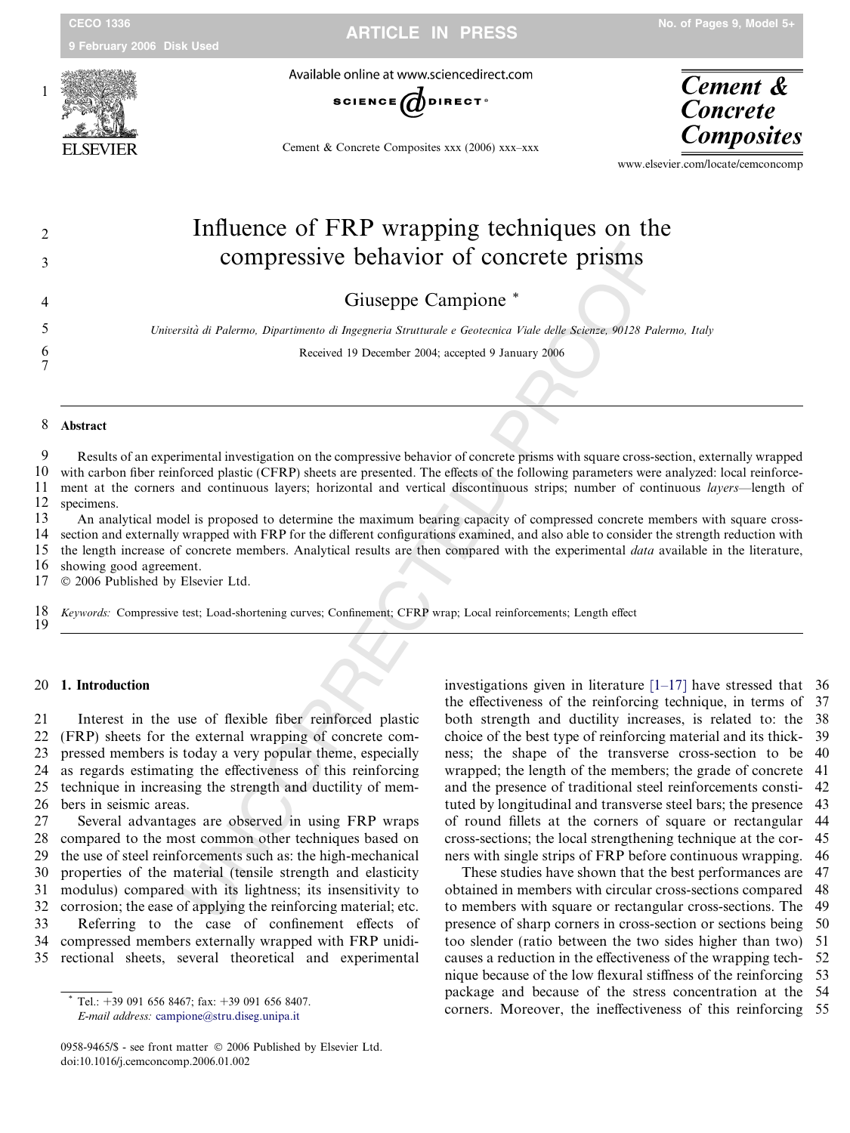9 February 2006 Disk Used



ARTICLE IN PRESS



Cement & Concrete Composites xxx (2006) xxx–xxx

CECO 1336 No. of Pages 9, Model 5+

**Cement & Concrete Composites** 

www.elsevier.com/locate/cemconcomp

# SCIENCE *CO*DIRECT<sup>®</sup><br>
ELSEVIER Cement & Concrete Composites xxx (2006) xxx-xxx<br>
2 Influence of FRP wrapping techniques on the <sup>3</sup> compressive behavior of concrete prisms

4 Giuseppe Campione \*

5 Universita` di Palermo, Dipartimento di Ingegneria Strutturale e Geotecnica Viale delle Scienze, 90128 Palermo, Italy

6 Received 19 December 2004; accepted 9 January 2006<br>7<br>8 Abstract

9 Results of an experimental investigation on the compressive behavior of concrete prisms with square cross-section, externally wrapped

10 with carbon fiber reinforced plastic (CFRP) sheets are presented. The effects of the following parameters were analyzed: local reinforce-

11 ment at the corners and continuous layers; horizontal and vertical discontinuous strips; number of continuous layers—length of 12 specimens.

13 An analytical model is proposed to determine the maximum bearing capacity of compressed concrete members with square cross-14 section and externally wrapped with FRP for the different configurations examined, and also able to consider the strength reduction with

15 the length increase of concrete members. Analytical results are then compared with the experimental *data* available in the literature,

16 showing good agreement.

17 2006 Published by Elsevier Ltd.

18 Keywords: Compressive test; Load-shortening curves; Confinement; CFRP wrap; Local reinforcements; Length effect 19

#### 20 1. Introduction

21 Interest in the use of flexible fiber reinforced plastic 22 (FRP) sheets for the external wrapping of concrete com-23 pressed members is today a very popular theme, especially 24 as regards estimating the effectiveness of this reinforcing 25 technique in increasing the strength and ductility of mem-26 bers in seismic areas.

27 Several advantages are observed in using FRP wraps 28 compared to the most common other techniques based on 29 the use of steel reinforcements such as: the high-mechanical 30 properties of the material (tensile strength and elasticity 31 modulus) compared with its lightness; its insensitivity to 32 corrosion; the ease of applying the reinforcing material; etc. 33 Referring to the case of confinement effects of

34 compressed members externally wrapped with FRP unidi-35 rectional sheets, several theoretical and experimental

0958-9465/\$ - see front matter 2006 Published by Elsevier Ltd.

**COMPICESSIVE behavior of concrete prisms**<br>
Sita *di Palemno, Dipartimento di Ingeneria Strutturale e Gostenica Viale delle Secondo 2018 Palemno, Dipartimento di Ingeneria Strutturale e Gostenica Viale delle Secondo 2018* investigations given in literature  $[1-17]$  have stressed that 36 the effectiveness of the reinforcing technique, in terms of 37 both strength and ductility increases, is related to: the 38 choice of the best type of reinforcing material and its thick- 39 ness; the shape of the transverse cross-section to be 40 wrapped; the length of the members; the grade of concrete 41 and the presence of traditional steel reinforcements consti- 42 tuted by longitudinal and transverse steel bars; the presence 43 of round fillets at the corners of square or rectangular 44 cross-sections; the local strengthening technique at the cor- 45 ners with single strips of FRP before continuous wrapping. 46

These studies have shown that the best performances are 47 obtained in members with circular cross-sections compared 48 to members with square or rectangular cross-sections. The 49 presence of sharp corners in cross-section or sections being 50 too slender (ratio between the two sides higher than two) 51 causes a reduction in the effectiveness of the wrapping tech- 52 nique because of the low flexural stiffness of the reinforcing 53 package and because of the stress concentration at the 54 corners. Moreover, the ineffectiveness of this reinforcing 55

<sup>&</sup>lt;sup>\*</sup> Tel.: +39 091 656 8467; fax: +39 091 656 8407.<br> *E-mail address:* campione@stru.diseg.unipa.it<br>
0958-9465/\$ - see front matter © 2006 Published b<br>
doi:10.1016/j.cemconcomp.2006.01.002 E-mail address: [campione@stru.diseg.unipa.it](mailto:campione@stru.diseg.unipa.it)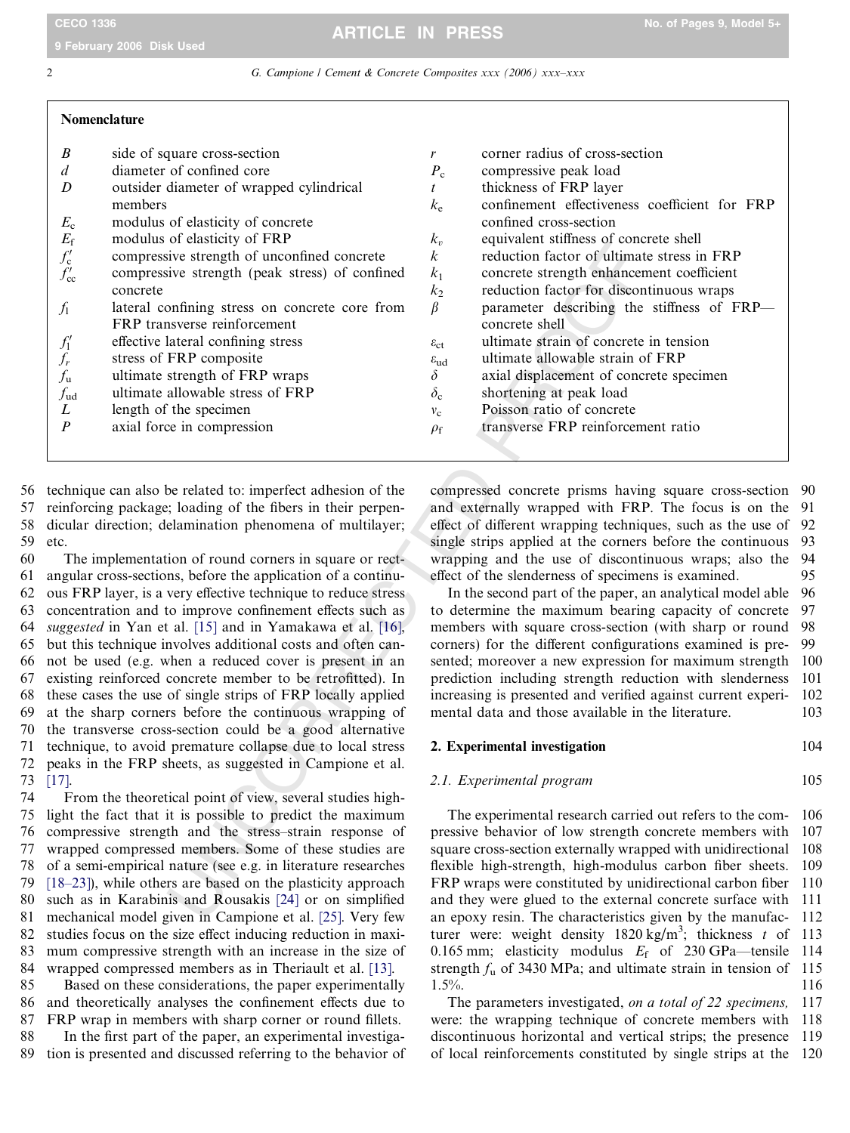2 G. Campione / Cement & Concrete Composites xxx (2006) xxx–xxx

#### Nomenclature

| $\boldsymbol{B}$<br>$\boldsymbol{d}$<br>$\boldsymbol{D}$<br>$E_{\rm c}$<br>$E_{\rm f}$<br>$f_{\rm c}'$<br>$f'_{\rm cc}$<br>$f_1$<br>$f_1'$ | side of square cross-section<br>diameter of confined core<br>outsider diameter of wrapped cylindrical<br>members<br>modulus of elasticity of concrete<br>modulus of elasticity of FRP<br>compressive strength of unconfined concrete<br>compressive strength (peak stress) of confined<br>concrete<br>lateral confining stress on concrete core from<br>FRP transverse reinforcement<br>effective lateral confining stress<br>stress of FRP composite                                                                                                                                                                                                                                                                                                                                                                                                                                                                                                                                                       | $\mathbf{r}$<br>$P_{\rm c}$<br>t<br>$k_{\rm e}$<br>$k_v$<br>$\boldsymbol{k}$<br>$k_1$<br>k <sub>2</sub><br>$\beta$<br>$\varepsilon_{\rm ct}$ | corner radius of cross-section<br>compressive peak load<br>thickness of FRP layer<br>confinement effectiveness coefficient for FRP<br>confined cross-section<br>equivalent stiffness of concrete shell<br>reduction factor of ultimate stress in FRP<br>concrete strength enhancement coefficient<br>reduction factor for discontinuous wraps<br>parameter describing the stiffness of FRP-<br>concrete shell<br>ultimate strain of concrete in tension<br>ultimate allowable strain of FRP                                                                                                                                                                                                                                                                                                                                                                                            |
|--------------------------------------------------------------------------------------------------------------------------------------------|-------------------------------------------------------------------------------------------------------------------------------------------------------------------------------------------------------------------------------------------------------------------------------------------------------------------------------------------------------------------------------------------------------------------------------------------------------------------------------------------------------------------------------------------------------------------------------------------------------------------------------------------------------------------------------------------------------------------------------------------------------------------------------------------------------------------------------------------------------------------------------------------------------------------------------------------------------------------------------------------------------------|----------------------------------------------------------------------------------------------------------------------------------------------|----------------------------------------------------------------------------------------------------------------------------------------------------------------------------------------------------------------------------------------------------------------------------------------------------------------------------------------------------------------------------------------------------------------------------------------------------------------------------------------------------------------------------------------------------------------------------------------------------------------------------------------------------------------------------------------------------------------------------------------------------------------------------------------------------------------------------------------------------------------------------------------|
| $f_r$<br>$f_{\rm u}$<br>$f_{\rm ud}$                                                                                                       | ultimate strength of FRP wraps<br>ultimate allowable stress of FRP                                                                                                                                                                                                                                                                                                                                                                                                                                                                                                                                                                                                                                                                                                                                                                                                                                                                                                                                          | $\varepsilon_{ud}$<br>$\delta$<br>$\delta_{\rm c}$                                                                                           | axial displacement of concrete specimen<br>shortening at peak load                                                                                                                                                                                                                                                                                                                                                                                                                                                                                                                                                                                                                                                                                                                                                                                                                     |
| L<br>$\boldsymbol{P}$                                                                                                                      | length of the specimen<br>axial force in compression                                                                                                                                                                                                                                                                                                                                                                                                                                                                                                                                                                                                                                                                                                                                                                                                                                                                                                                                                        | $v_{\rm c}$<br>$\rho_f$                                                                                                                      | Poisson ratio of concrete<br>transverse FRP reinforcement ratio                                                                                                                                                                                                                                                                                                                                                                                                                                                                                                                                                                                                                                                                                                                                                                                                                        |
| tc.                                                                                                                                        | echnique can also be related to: imperfect adhesion of the<br>einforcing package; loading of the fibers in their perpen-<br>licular direction; delamination phenomena of multilayer;<br>The implementation of round corners in square or rect-<br>ingular cross-sections, before the application of a continu-<br>bus FRP layer, is a very effective technique to reduce stress<br>concentration and to improve confinement effects such as<br>uggested in Yan et al. [15] and in Yamakawa et al. [16],<br>but this technique involves additional costs and often can-<br>not be used (e.g. when a reduced cover is present in an<br>existing reinforced concrete member to be retrofitted). In<br>hese cases the use of single strips of FRP locally applied<br>it the sharp corners before the continuous wrapping of<br>he transverse cross-section could be a good alternative<br>echnique, to avoid premature collapse due to local stress<br>beaks in the FRP sheets, as suggested in Campione et al. |                                                                                                                                              | compressed concrete prisms having square cross-section<br>and externally wrapped with FRP. The focus is on the<br>effect of different wrapping techniques, such as the use of<br>single strips applied at the corners before the continuous<br>wrapping and the use of discontinuous wraps; also the<br>effect of the slenderness of specimens is examined.<br>In the second part of the paper, an analytical model able<br>to determine the maximum bearing capacity of concrete<br>members with square cross-section (with sharp or round<br>corners) for the different configurations examined is pre-<br>sented; moreover a new expression for maximum strength<br>prediction including strength reduction with slenderness<br>increasing is presented and verified against current experi-<br>mental data and those available in the literature.<br>2. Experimental investigation |
| 17].                                                                                                                                       | From the theoretical point of view, several studies high-                                                                                                                                                                                                                                                                                                                                                                                                                                                                                                                                                                                                                                                                                                                                                                                                                                                                                                                                                   |                                                                                                                                              | 2.1. Experimental program                                                                                                                                                                                                                                                                                                                                                                                                                                                                                                                                                                                                                                                                                                                                                                                                                                                              |
|                                                                                                                                            | ight the fact that it is possible to predict the maximum<br>compressive strength and the stress-strain response of<br>vrapped compressed members. Some of these studies are<br>of a semi-empirical nature (see e.g. in literature researches<br>18–23]), while others are based on the plasticity approach<br>uch as in Karabinis and Rousakis [24] or on simplified<br>nechanical model given in Campione et al. [25]. Very few                                                                                                                                                                                                                                                                                                                                                                                                                                                                                                                                                                            |                                                                                                                                              | The experimental research carried out refers to the com-<br>pressive behavior of low strength concrete members with<br>square cross-section externally wrapped with unidirectional<br>flexible high-strength, high-modulus carbon fiber sheets.<br>FRP wraps were constituted by unidirectional carbon fiber<br>and they were glued to the external concrete surface with<br>an epoxy resin. The characteristics given by the manufac-                                                                                                                                                                                                                                                                                                                                                                                                                                                 |

56 technique can also be related to: imperfect adhesion of the 57 reinforcing package; loading of the fibers in their perpen-

58 dicular direction; delamination phenomena of multilayer; 59 etc.

60 The implementation of round corners in square or rect-61 angular cross-sections, before the application of a continu-62 ous FRP layer, is a very effective technique to reduce stress 63 concentration and to improve confinement effects such as 64 suggested in Yan et al. [15] and in Yamakawa et al. [16], 65 but this technique involves additional costs and often can-66 not be used (e.g. when a reduced cover is present in an 67 existing reinforced concrete member to be retrofitted). In 68 these cases the use of single strips of FRP locally applied 69 at the sharp corners before the continuous wrapping of 70 the transverse cross-section could be a good alternative 71 technique, to avoid premature collapse due to local stress 72 peaks in the FRP sheets, as suggested in Campione et al. 73 [\[17\]](#page-8-0).

74 From the theoretical point of view, several studies high-75 light the fact that it is possible to predict the maximum 76 compressive strength and the stress–strain response of 77 wrapped compressed members. Some of these studies are 78 of a semi-empirical nature (see e.g. in literature researches 79 [\[18–23\]](#page-8-0)), while others are based on the plasticity approach 80 such as in Karabinis and Rousakis [24] or on simplified 81 mechanical model given in Campione et al. [\[25\].](#page-8-0) Very few 82 studies focus on the size effect inducing reduction in maxi-83 mum compressive strength with an increase in the size of 84 wrapped compressed members as in Theriault et al. [\[13\]](#page-8-0).

85 Based on these considerations, the paper experimentally 86 and theoretically analyses the confinement effects due to 87 FRP wrap in members with sharp corner or round fillets. 88 In the first part of the paper, an experimental investiga-89 tion is presented and discussed referring to the behavior of compressed concrete prisms having square cross-section 90 and externally wrapped with FRP. The focus is on the 91 effect of different wrapping techniques, such as the use of 92 single strips applied at the corners before the continuous 93 wrapping and the use of discontinuous wraps; also the 94 effect of the slenderness of specimens is examined. 95

In the second part of the paper, an analytical model able 96 to determine the maximum bearing capacity of concrete 97 members with square cross-section (with sharp or round 98 corners) for the different configurations examined is pre- 99 sented; moreover a new expression for maximum strength 100 prediction including strength reduction with slenderness 101 increasing is presented and verified against current experi- 102 mental data and those available in the literature. 103

#### 2. Experimental investigation 104

#### 2.1. Experimental program 105

The experimental research carried out refers to the com- 106 pressive behavior of low strength concrete members with 107 square cross-section externally wrapped with unidirectional 108 flexible high-strength, high-modulus carbon fiber sheets. 109 FRP wraps were constituted by unidirectional carbon fiber 110 and they were glued to the external concrete surface with 111 an epoxy resin. The characteristics given by the manufac- 112 turer were: weight density  $1820 \text{ kg/m}^3$ ; thickness t of 113 0.165 mm; elasticity modulus  $E_f$  of 230 GPa—tensile 114 strength  $f_u$  of 3430 MPa; and ultimate strain in tension of 115 1.5%. 116

The parameters investigated, on a total of 22 specimens, 117 were: the wrapping technique of concrete members with 118 discontinuous horizontal and vertical strips; the presence 119 of local reinforcements constituted by single strips at the 120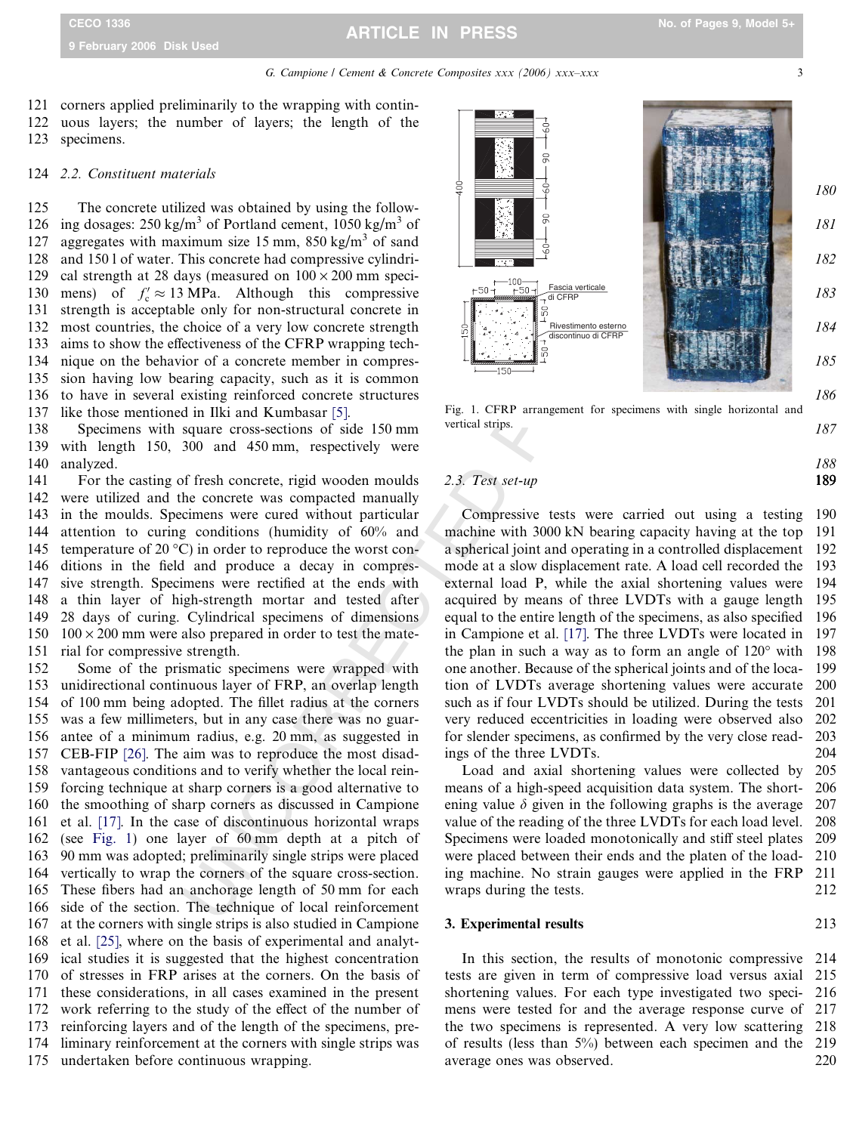G. Campione / Cement & Concrete Composites xxx (2006) xxx–xxx

121 corners applied preliminarily to the wrapping with contin-122 uous layers; the number of layers; the length of the

# 123 specimens.

#### 124 2.2. Constituent materials

125 The concrete utilized was obtained by using the follow-126 ing dosages:  $250 \text{ kg/m}^3$  of Portland cement,  $1050 \text{ kg/m}^3$  of 127 aggregates with maximum size 15 mm, 850 kg/m<sup>3</sup> of sand 128 and 150 l of water. This concrete had compressive cylindri-129 cal strength at 28 days (measured on  $100 \times 200$  mm speci-130 mens) of  $f'_c \approx 13 \text{ MPa}$ . Although this compressive<br>131 strength is acceptable only for non-structural concrete in strength is acceptable only for non-structural concrete in 132 most countries, the choice of a very low concrete strength 133 aims to show the effectiveness of the CFRP wrapping tech-134 nique on the behavior of a concrete member in compres-135 sion having low bearing capacity, such as it is common 136 to have in several existing reinforced concrete structures 137 like those mentioned in Ilki and Kumbasar [\[5\]](#page-8-0) .

138 Specimens with square cross-sections of side 150 mm 139 with length 150, 300 and 450 mm, respectively were 140 analyzed.

141 For the casting of fresh concrete, rigid wooden moulds 142 were utilized and the concrete was compacted manually 143 in the moulds. Specimens were cured without particular 144 attention to curing conditions (humidity of 60% and 145 temperature of 20  $^{\circ}$ C) in order to reproduce the worst con-146 ditions in the field and produce a decay in compres-147 sive strength. Specimens were rectified at the ends with 148 a thin layer of high-strength mortar and tested after 149 28 days of curing. Cylindrical specimens of dimensions  $150 \cdot 100 \times 200$  mm were also prepared in order to test the mate-151 rial for compressive strength.

When Size 13 ntm, as by a sign of same specified and polynomic specified and compressive cylimdrif-<br>
This concrete had compressive cylimdrif-<br>
MFa. Although this compressive cylimdrif-<br>
elocity for non-structural concrete 152 Some of the prismatic specimens were wrapped with 153 unidirectional continuous layer of FRP, an overlap length 154 of 100 mm being adopted. The fillet radius at the corners 155 was a few millimeters, but in any case there was no guar-156 antee of a minimum radius, e.g. 20 mm, as suggested in 157 CEB-FIP [\[26\].](#page-8-0) The aim was to reproduce the most disad-158 vantageous conditions and to verify whether the local rein-159 forcing technique at sharp corners is a good alternative to 160 the smoothing of sharp corners as discussed in Campione 161 et al. [\[17\]](#page-8-0). In the case of discontinuous horizontal wraps 162 (see Fig. 1) one layer of 60 mm depth at a pitch of 163 90 mm was adopted; preliminarily single strips were placed 164 vertically to wrap the corners of the square cross-section. 165 These fibers had an anchorage length of 50 mm for each 166 side of the section. The technique of local reinforcement 167 at the corners with single strips is also studied in Campione 168 et al. [\[25\]](#page-8-0), where on the basis of experimental and analyt-169 ical studies it is suggested that the highest concentration 170 of stresses in FRP arises at the corners. On the basis of 171 these considerations, in all cases examined in the present 172 work referring to the study of the effect of the number of 173 reinforcing layers and of the length of the specimens, pre-174 liminary reinforcement at the corners with single strips was 175 undertaken before continuous wrapping.



Fig. 1. CFRP arrangement for specimens with single horizontal and vertical strips.

187 188

2.3. Test set-up 189

Compressive tests were carried out using a testing 190 machine with 3000 kN bearing capacity having at the top 191 a spherical joint and operating in a controlled displacement 192 mode at a slow displacement rate. A load cell recorded the 193 external load P, while the axial shortening values were 194 acquired by means of three LVDTs with a gauge length 195 equal to the entire length of the specimens, as also specified 196 in Campione et al. [\[17\].](#page-8-0) The three LVDTs were located in 197 the plan in such a way as to form an angle of  $120^{\circ}$  with 198 one another. Because of the spherical joints and of the loca- 199 tion of LVDTs average shortening values were accurate 200 such as if four LVDTs should be utilized. During the tests 201 very reduced eccentricities in loading were observed also 202 for slender specimens, as confirmed by the very close read- 203 ings of the three LVDTs. 204

Load and axial shortening values were collected by 205 means of a high-speed acquisition data system. The short- 206 ening value  $\delta$  given in the following graphs is the average 207 value of the reading of the three LVDTs for each load level. 208 Specimens were loaded monotonically and stiff steel plates 209 were placed between their ends and the platen of the load- 210 ing machine. No strain gauges were applied in the FRP 211 wraps during the tests. 212

#### 3. Experimental results 213

In this section, the results of monotonic compressive 214 tests are given in term of compressive load versus axial 215 shortening values. For each type investigated two speci- 216 mens were tested for and the average response curve of 217 the two specimens is represented. A very low scattering 218 of results (less than 5%) between each specimen and the 219 average ones was observed. 220

3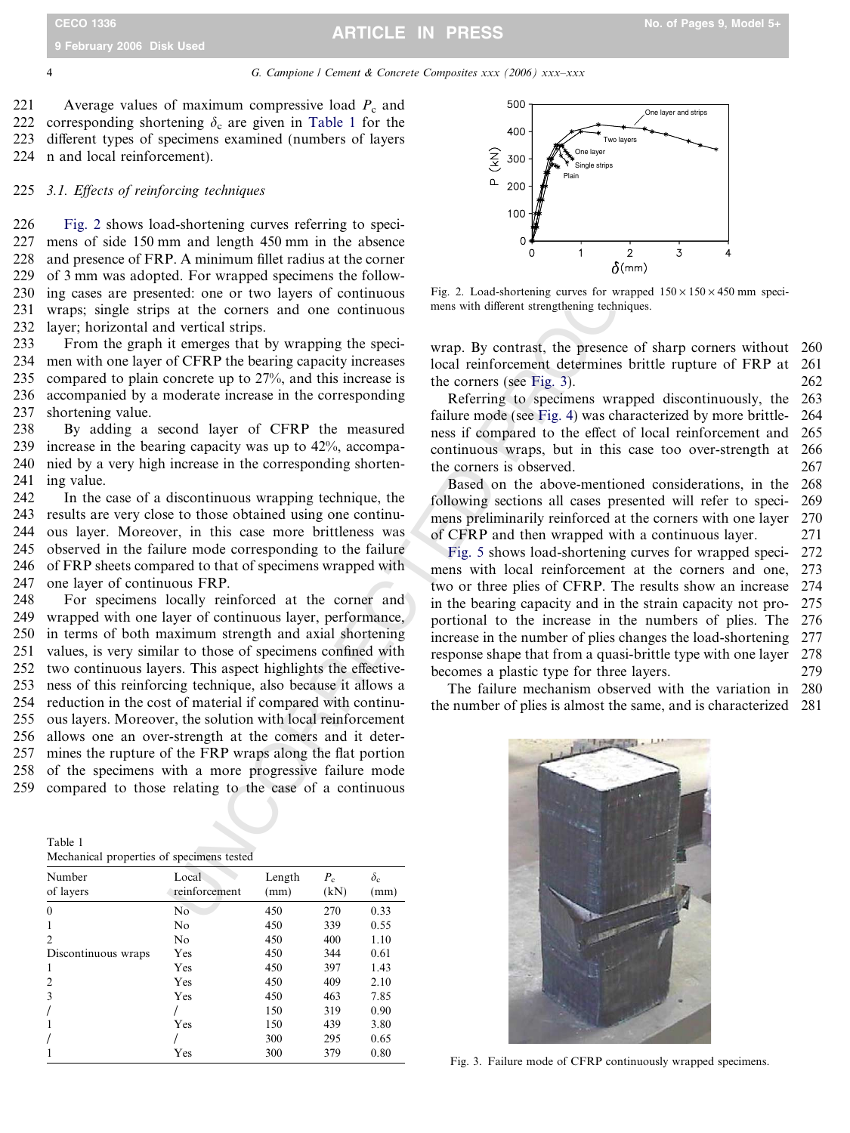4 G. Campione / Cement & Concrete Composites xxx (2006) xxx–xxx

221 Average values of maximum compressive load  $P_c$  and 222 corresponding shortening  $\delta_c$  are given in Table 1 for the 223 different types of specimens examined (numbers of layers 224 n and local reinforcement).

#### 225 3.1. Effects of reinforcing techniques

9 February 2006 Disk Used

226 Fig. 2 shows load-shortening curves referring to speci-227 mens of side 150 mm and length 450 mm in the absence 228 and presence of FRP. A minimum fillet radius at the corner 229 of 3 mm was adopted. For wrapped specimens the follow-230 ing cases are presented: one or two layers of continuous 231 wraps; single strips at the corners and one continuous 232 layer; horizontal and vertical strips.

233 From the graph it emerges that by wrapping the speci-234 men with one layer of CFRP the bearing capacity increases 235 compared to plain concrete up to 27%, and this increase is 236 accompanied by a moderate increase in the corresponding 237 shortening value.

238 By adding a second layer of CFRP the measured 239 increase in the bearing capacity was up to 42%, accompa-240 nied by a very high increase in the corresponding shorten-241 ing value.

242 In the case of a discontinuous wrapping technique, the 243 results are very close to those obtained using one continu-244 ous layer. Moreover, in this case more brittleness was 245 observed in the failure mode corresponding to the failure 246 of FRP sheets compared to that of specimens wrapped with 247 one layer of continuous FRP.

Im and engine 4 so that engines<br>
in and engine and the conternation of the ansiem in the cause of the conternated, one or two bayers of continuous<br> [E](#page-4-0)q. 2. Load-shortning carres for wrapped specifiers at the corner<br>
and th 248 For specimens locally reinforced at the corner and 249 wrapped with one layer of continuous layer, performance, 250 in terms of both maximum strength and axial shortening 251 values, is very similar to those of specimens confined with 252 two continuous layers. This aspect highlights the effective-253 ness of this reinforcing technique, also because it allows a 254 reduction in the cost of material if compared with continu-255 ous layers. Moreover, the solution with local reinforcement 256 allows one an over-strength at the comers and it deter-257 mines the rupture of the FRP wraps along the flat portion 258 of the specimens with a more progressive failure mode 259 compared to those relating to the case of a continuous

| Table 1                                   |  |  |  |
|-------------------------------------------|--|--|--|
| Mechanical properties of specimens tested |  |  |  |

| Number<br>of layers | Local<br>reinforcement | Length<br>(mm) | $P_c$<br>(kN) | $\delta_{\rm c}$<br>(mm) |
|---------------------|------------------------|----------------|---------------|--------------------------|
| $\theta$            | No                     | 450            | 270           | 0.33                     |
|                     | No                     | 450            | 339           | 0.55                     |
| $\overline{2}$      | No                     | 450            | 400           | 1.10                     |
| Discontinuous wraps | Yes                    | 450            | 344           | 0.61                     |
| 1                   | Yes                    | 450            | 397           | 1.43                     |
| 2                   | Yes                    | 450            | 409           | 2.10                     |
| 3                   | Yes                    | 450            | 463           | 7.85                     |
|                     |                        | 150            | 319           | 0.90                     |
|                     | Yes                    | 150            | 439           | 3.80                     |
|                     |                        | 300            | 295           | 0.65                     |
|                     | Yes                    | 300            | 379           | 0.80                     |



Fig. 2. Load-shortening curves for wrapped  $150 \times 150 \times 450$  mm specimens with different strengthening techniques.

wrap. By contrast, the presence of sharp corners without 260 local reinforcement determines brittle rupture of FRP at 261 the corners (see Fig. 3). 262

Referring to specimens wrapped discontinuously, the 263 failure mode (see Fig. 4) was characterized by more brittle- 264 ness if compared to the effect of local reinforcement and 265 continuous wraps, but in this case too over-strength at 266 the corners is observed. 267

Based on the above-mentioned considerations, in the 268 following sections all cases presented will refer to speci- 269 mens preliminarily reinforced at the corners with one layer 270 of CFRP and then wrapped with a continuous layer. 271

Fig. 5 shows load-shortening curves for wrapped speci- 272 mens with local reinforcement at the corners and one, 273 two or three plies of CFRP. The results show an increase 274 in the bearing capacity and in the strain capacity not pro- 275 portional to the increase in the numbers of plies. The 276 increase in the number of plies changes the load-shortening 277 response shape that from a quasi-brittle type with one layer 278 becomes a plastic type for three layers. 279

The failure mechanism observed with the variation in 280 the number of plies is almost the same, and is characterized 281



Fig. 3. Failure mode of CFRP continuously wrapped specimens.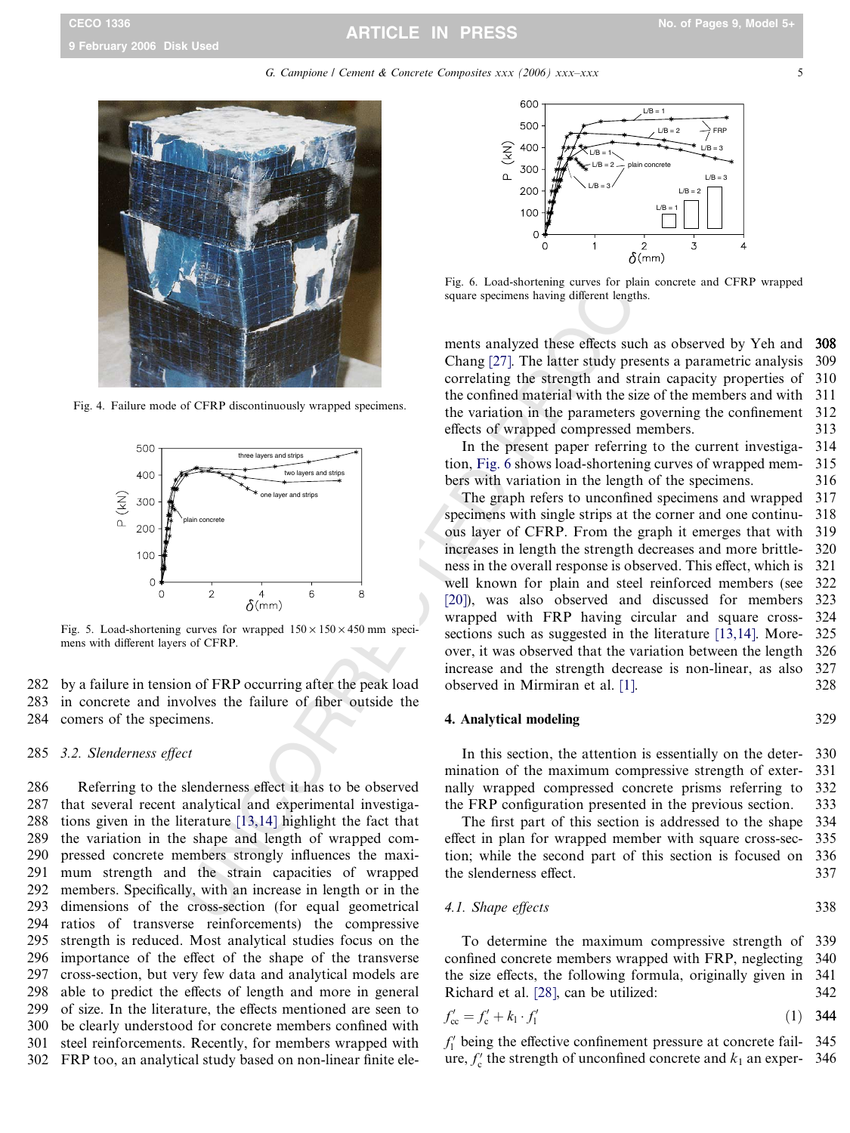G. Campione / Cement & Concrete Composites xxx (2006) xxx–xxx

<span id="page-4-0"></span>

Fig. 4. Failure mode of CFRP discontinuously wrapped specimens.



Fig. 5. Load-shortening curves for wrapped  $150 \times 150 \times 450$  mm specimens with different layers of CFRP.

282 by a failure in tension of FRP occurring after the peak load 283 in concrete and involves the failure of fiber outside the 284 comers of the specimens.

#### 285 3.2. Slenderness effect

286 Referring to the slenderness effect it has to be observed 287 that several recent analytical and experimental investiga-288 tions given in the literature [13,14] highlight the fact that 289 the variation in the shape and length of wrapped com-290 pressed concrete members strongly influences the maxi-291 mum strength and the strain capacities of wrapped 292 members. Specifically, with an increase in length or in the 293 dimensions of the cross-section (for equal geometrical 294 ratios of transverse reinforcements) the compressive 295 strength is reduced. Most analytical studies focus on the 296 importance of the effect of the shape of the transverse 297 cross-section, but very few data and analytical models are 298 able to predict the effects of length and more in general 299 of size. In the literature, the effects mentioned are seen to 300 be clearly understood for concrete members confined with 301 steel reinforcements. Recently, for members wrapped with 302 FRP too, an analytical study based on non-linear finite ele-



Fig. 6. Load-shortening curves for plain concrete and CFRP wrapped square specimens having different lengths.

ments analyzed these effects such as observed by Yeh and 308 Chang [27]. The latter study presents a parametric analysis 309 correlating the strength and strain capacity properties of 310 the confined material with the size of the members and with 311 the variation in the parameters governing the confinement 312 effects of wrapped compressed members. 313

In the present paper referring to the current investiga- 314 tion, Fig. 6 shows load-shortening curves of wrapped mem- 315 bers with variation in the length of the specimens. 316

Fig. 6. Load-shortning converges in the control of CFRP discusses for plan of G[T](#page-8-0)RP discontinuously wrapped pectimes.<br>
The strength and strain the strength and strain of GTRP discontinuously wrapped speciments. The contrac The graph refers to unconfined specimens and wrapped 317 specimens with single strips at the corner and one continu- 318 ous layer of CFRP. From the graph it emerges that with 319 increases in length the strength decreases and more brittle- 320 ness in the overall response is observed. This effect, which is 321 well known for plain and steel reinforced members (see 322) [20]), was also observed and discussed for members 323 wrapped with FRP having circular and square cross- 324 sections such as suggested in the literature [\[13,14\]](#page-8-0). More-325 over, it was observed that the variation between the length 326 increase and the strength decrease is non-linear, as also 327 observed in Mirmiran et al. [\[1\]](#page-8-0) . 328

#### 4. Analytical modeling 329

In this section, the attention is essentially on the deter- 330 mination of the maximum compressive strength of exter- 331 nally wrapped compressed concrete prisms referring to 332 the FRP configuration presented in the previous section. 333

The first part of this section is addressed to the shape 334 effect in plan for wrapped member with square cross-sec- 335 tion; while the second part of this section is focused on 336 the slenderness effect. 337

### 4.1. Shape effects 338

To determine the maximum compressive strength of 339 confined concrete members wrapped with FRP, neglecting 340 the size effects, the following formula, originally given in 341 Richard et al. [\[28\],](#page-8-0) can be utilized: 342

$$
f'_{\rm cc} = f'_{\rm c} + k_{\rm l} \cdot f'_{\rm l} \tag{1} \quad 344
$$

 $f_1'$  being the effective confinement pressure at concrete fail- 345 ure,  $f_2'$  the strength of unconfined concrete and  $k_1$  an exper- 346 ure,  $f'_c$  the strength of unconfined concrete and  $k_1$  an exper-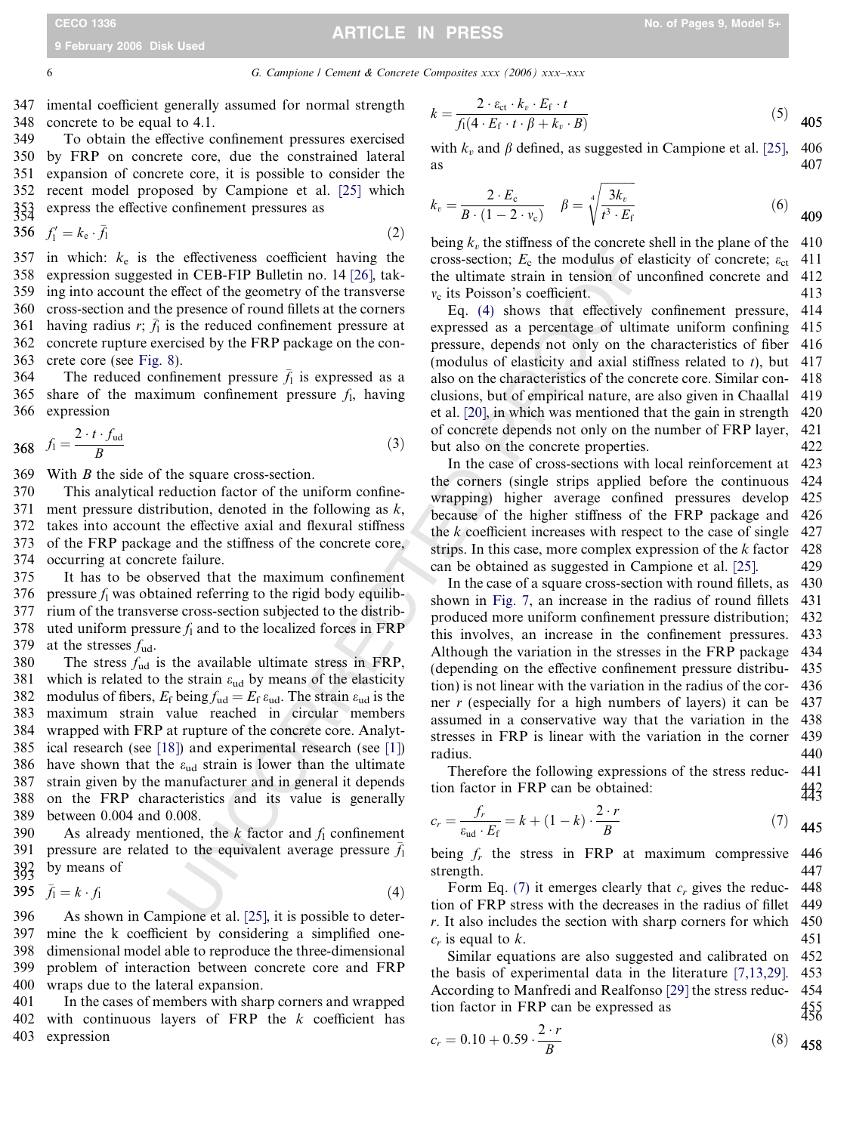<span id="page-5-0"></span>6 G. Campione / Cement & Concrete Composites xxx (2006) xxx–xxx

347 imental coefficient generally assumed for normal strength 348 concrete to be equal to 4.1.

349 To obtain the effective confinement pressures exercised 350 by FRP on concrete core, due the constrained lateral 351 expansion of concrete core, it is possible to consider the 352 recent model proposed by Campione et al. [\[25\]](#page-8-0) which 353 express the effective confinement pressures as <sup>354</sup>

$$
356 \t f_1' = k_e \cdot \bar{f}_1 \t\t(2)
$$

357 in which:  $k_e$  is the effectiveness coefficient having the 358 expression suggested in CEB-FIP Bulletin no. 14 [\[26\],](#page-8-0) tak-359 ing into account the effect of the geometry of the transverse 360 cross-section and the presence of round fillets at the corners 361 having radius r;  $\bar{f}_1$  is the reduced confinement pressure at 362 concrete rupture exercised by the FRP package on the con-363 crete core (see [Fig. 8](#page-6-0)).

364 The reduced confinement pressure  $\bar{f}_1$  is expressed as a 365 share of the maximum confinement pressure  $f_1$ , having 366 expression

$$
368 \t f_1 = \frac{2 \cdot t \cdot f_{ud}}{B} \t\t(3)
$$

369 With B the side of the square cross-section.

370 This analytical reduction factor of the uniform confine-371 ment pressure distribution, denoted in the following as  $k$ , 372 takes into account the effective axial and flexural stiffness 373 of the FRP package and the stiffness of the concrete core, 374 occurring at concrete failure.

375 It has to be observed that the maximum confinement 376 pressure  $f_1$  was obtained referring to the rigid body equilib-377 rium of the transverse cross-section subjected to the distrib-378 uted uniform pressure  $f_1$  and to the localized forces in FRP 379 at the stresses  $f_{ud}$ .

380 The stress  $f_{\text{ud}}$  is the available ultimate stress in FRP, 381 which is related to the strain  $\varepsilon_{ud}$  by means of the elasticity<br>382 modulus of fibers.  $E_f$  being  $f_{ud} = E_f \varepsilon_{ud}$ . The strain  $\varepsilon_{ud}$  is the modulus of fibers,  $E_f$  being  $f_{ud} = E_f \varepsilon_{ud}$ . The strain  $\varepsilon_{ud}$  is the 383 maximum strain value reached in circular members 384 wrapped with FRP at rupture of the concrete core. Analyt-385 ical research (see [\[18\]](#page-8-0)) and experimental research (see [1]) 386 have shown that the  $\varepsilon_{\rm ud}$  strain is lower than the ultimate 387 strain given by the manufacturer and in general it depends 388 on the FRP characteristics and its value is generally 389 between 0.004 and 0.008.

390 As already mentioned, the  $k$  factor and  $f_1$  confinement 391 pressure are related to the equivalent average pressure  $\bar{f}_1$ <br>392 by means of  $\frac{392}{393}$  by means of

$$
395 \quad \bar{f}_1 = k \cdot f_1 \tag{4}
$$

396 As shown in Campione et al. [\[25\],](#page-8-0) it is possible to deter-397 mine the k coefficient by considering a simplified one-398 dimensional model able to reproduce the three-dimensional 399 problem of interaction between concrete core and FRP 400 wraps due to the lateral expansion.

401 In the cases of members with sharp corners and wrapped 402 with continuous layers of FRP the  $k$  coefficient has 403 expression

$$
k = \frac{2 \cdot \varepsilon_{\text{ct}} \cdot k_v \cdot E_f \cdot t}{f_1(4 \cdot E_f \cdot t \cdot \beta + k_v \cdot B)} \tag{5}
$$

with  $k_v$  and  $\beta$  defined, as suggested in Campione et al. [\[25\]](#page-8-0), 406 as  $407$ 

$$
k_v = \frac{2 \cdot E_c}{B \cdot (1 - 2 \cdot v_c)} \quad \beta = \sqrt[4]{\frac{3k_v}{t^3 \cdot E_f}}
$$
(6)

being  $k<sub>v</sub>$  the stiffness of the concrete shell in the plane of the 410 cross-section;  $E_c$  the modulus of elasticity of concrete;  $\varepsilon_{ct}$  411 the ultimate strain in tension of unconfined concrete and 412  $v_c$  its Poisson's coefficient. 413

Eq. (4) shows that effectively confinement pressure, 414 expressed as a percentage of ultimate uniform confining 415 pressure, depends not only on the characteristics of fiber 416 (modulus of elasticity and axial stiffness related to  $t$ ), but 417 also on the characteristics of the concrete core. Similar con- 418 clusions, but of empirical nature, are also given in Chaallal 419 et al. [\[20\]](#page-8-0), in which was mentioned that the gain in strength 420 of concrete depends not only on the number of FRP layer, 421 but also on the concrete properties. 422

In the case of cross-sections with local reinforcement at 423 the corners (single strips applied before the continuous 424 wrapping) higher average confined pressures develop 425 because of the higher stiffness of the FRP package and 426 the  $k$  coefficient increases with respect to the case of single  $427$ strips. In this case, more complex expression of the k factor 428 can be obtained as suggested in Campione et al. [\[25\]](#page-8-0). 429

e effectiveness coefficient having the enginess controls coefficient for the conservation  $\Gamma$ . Externess of the conservation of all 260 take the ultimate strain in ensistor and fill an CEB-FIP Bulletim in the summer pres In the case of a square cross-section with round fillets, as 430 shown in [Fig. 7,](#page-6-0) an increase in the radius of round fillets 431 produced more uniform confinement pressure distribution; 432 this involves, an increase in the confinement pressures. 433 Although the variation in the stresses in the FRP package 434 (depending on the effective confinement pressure distribu- 435 tion) is not linear with the variation in the radius of the cor- 436 ner r (especially for a high numbers of layers) it can be 437 assumed in a conservative way that the variation in the 438 stresses in FRP is linear with the variation in the corner 439 radius. 440

Therefore the following expressions of the stress reduc- 441 tion factor in FRP can be obtained:  $442$ 

$$
c_r = \frac{f_r}{\varepsilon_{\text{ud}} \cdot E_f} = k + (1 - k) \cdot \frac{2 \cdot r}{B} \tag{7}
$$

being  $f_r$  the stress in FRP at maximum compressive 446 strength.  $447$ 

Form Eq. (7) it emerges clearly that  $c_r$  gives the reduc- 448 tion of FRP stress with the decreases in the radius of fillet 449 r. It also includes the section with sharp corners for which  $450$  $c_r$  is equal to k. 451

Similar equations are also suggested and calibrated on 452 the basis of experimental data in the literature [\[7,13,29\]](#page-8-0). 453 According to Manfredi and Realfonso [\[29\]](#page-8-0) the stress reduc- 454 tion factor in FRP can be expressed as  $455/456$ 

$$
c_r = 0.10 + 0.59 \cdot \frac{2 \cdot r}{B} \tag{8}
$$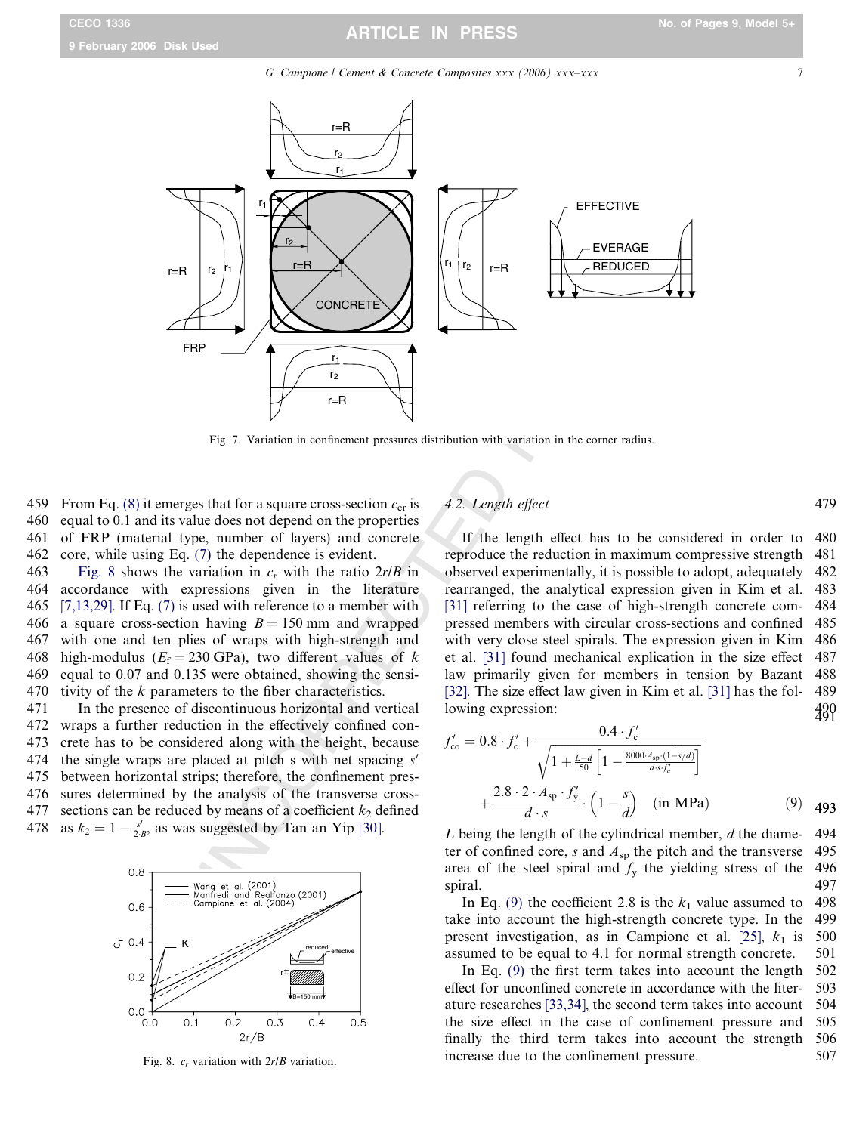

<span id="page-6-0"></span>

Fig. 7. Variation in confinement pressures distribution with variation in the corner radius.

459 From Eq. [\(8\)](#page-5-0) it emerges that for a square cross-section  $c_{cr}$  is 460 equal to 0.1 and its value does not depend on the properties 461 of FRP (material type, number of layers) and concrete 462 core, while using Eq. (7) the dependence is evident.

463 Fig. 8 shows the variation in  $c_r$  with the ratio  $2r/B$  in 464 accordance with expressions given in the literature 465 [\[7,13,29\]](#page-8-0). If Eq. [\(7\)](#page-5-0) is used with reference to a member with 466 a square cross-section having  $B = 150$  mm and wrapped 467 with one and ten plies of wraps with high-strength and 468 high-modulus ( $E_f = 230$  GPa), two different values of k 469 equal to 0.07 and 0.135 were obtained, showing the sensi-470 tivity of the  $k$  parameters to the fiber characteristics.

471 In the presence of discontinuous horizontal and vertical 472 wraps a further reduction in the effectively confined con-473 crete has to be considered along with the height, because 474 the single wraps are placed at pitch s with net spacing  $s'$ 475 between horizontal strips; therefore, the confinement pres-476 sures determined by the analysis of the transverse cross-477 sections can be reduced by means of a coefficient  $k_2$  defined 478  $k_2 = 1 - \frac{s'}{2}$  $\frac{s'}{2 \cdot B}$ , as was suggested by Tan an Yip [30].



Fig. 8.  $c_r$  variation with  $2r/B$  variation.

# 4.2. Length effect 479

If the length effect has to be considered in order to 480 reproduce the reduction in maximum compressive strength 481 observed experimentally, it is possible to adopt, adequately 482 rearranged, the analytical expression given in Kim et al. 483 [31] referring to the case of high-strength concrete com- 484 pressed members with circular cross-sections and confined 485 with very close steel spirals. The expression given in Kim 486 et al. [31] found mechanical explication in the size effect 487 law primarily given for members in tension by Bazant 488 [32]. The size effect law given in Kim et al. [\[31\]](#page-8-0) has the fol- 489 lowing expression:  $490<sup>491</sup>$ 

$$
f'_{\rm co} = 0.8 \cdot f'_{\rm c} + \frac{0.4 \cdot f'_{\rm c}}{\sqrt{1 + \frac{L - d}{50} \left[1 - \frac{8000 \cdot A_{\rm sp} \cdot (1 - s/d)}{d \cdot s f'_{\rm c}}\right]}} + \frac{2.8 \cdot 2 \cdot A_{\rm sp} \cdot f'_{\rm y}}{d \cdot s} \cdot \left(1 - \frac{s}{d}\right) \quad \text{(in MPa)} \tag{9}
$$

L being the length of the cylindrical member, d the diame- 494 ter of confined core, s and  $A_{\rm sp}$  the pitch and the transverse 495 area of the steel spiral and  $f<sub>y</sub>$  the yielding stress of the 496 spiral. 497

In Eq. (9) the coefficient 2.8 is the  $k_1$  value assumed to 498 take into account the high-strength concrete type. In the 499 present investigation, as in Campione et al.  $[25]$ ,  $k_1$  is 500 assumed to be equal to 4.1 for normal strength concrete. 501

In Eq. (9) the first term takes into account the length 502 effect for unconfined concrete in accordance with the liter- 503 ature researches [\[33,34\]](#page-8-0), the second term takes into account 504 the size effect in the case of confinement pressure and 505 finally the third term takes into account the strength 506 increase due to the confinement pressure. 507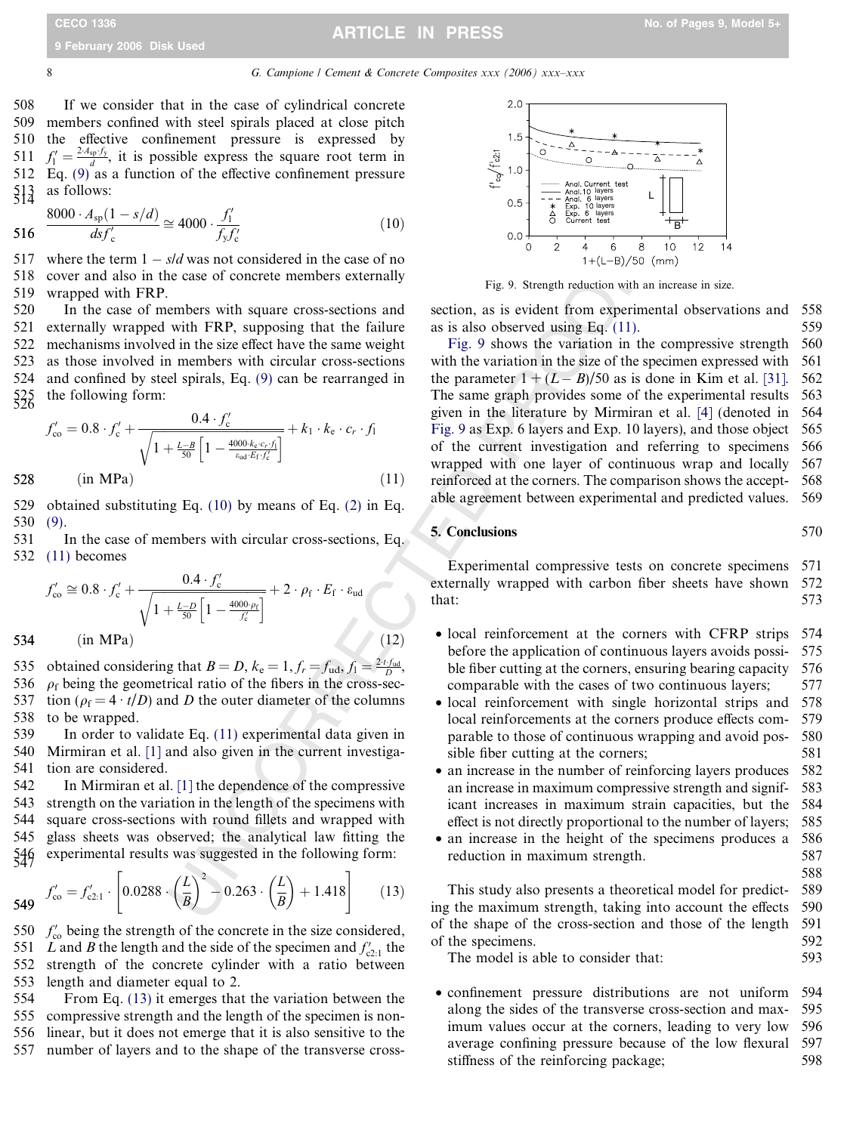1 February 2006 Dis<u>k Used</u>

# ARTICLE IN PRESS

8 **G. Campione / Cement & Concrete Composites xxx** (2006) xxx-xxx

508 If we consider that in the case of cylindrical concrete 509 members confined with steel spirals placed at close pitch 510 the effective confinement pressure is expressed by 511  $\zeta_1' = \frac{2 \cdot A_{\rm sp} f_{\rm y}}{d}$ , it is possible express the square root term in 512 Eq.  $(9)$  as a function of the effective confinement pressure  $\frac{513}{1}$  as follows:

$$
516 \quad \frac{8000 \cdot A_{\rm sp}(1 - s/d)}{ds f'_{\rm c}} \cong 4000 \cdot \frac{f'_{\rm l}}{f_{\rm y} f'_{\rm c}} \tag{10}
$$

517 where the term  $1 - s/d$  was not considered in the case of no 518 cover and also in the case of concrete members externally 519 wrapped with FRP.

520 In the case of members with square cross-sections and 521 externally wrapped with FRP, supposing that the failure 522 mechanisms involved in the size effect have the same weight 523 as those involved in members with circular cross-sections 524 and confined by steel spirals, Eq. [\(9\)](#page-6-0) can be rearranged in 525 the following form: <sup>526</sup>

$$
f'_{\rm co} = 0.8 \cdot f'_{\rm c} + \frac{0.4 \cdot f'_{\rm c}}{\sqrt{1 + \frac{L - B}{50} \left[ 1 - \frac{4000 \cdot k_{\rm c} \cdot c_r \cdot f_1}{\varepsilon_{\rm ud} \cdot E_{\rm f} \cdot f'_{\rm c}} \right]}} + k_1 \cdot k_{\rm e} \cdot c_r \cdot f_1
$$
  
528 (in MPa) (11)

529 obtained substituting Eq. (10) by means of Eq. (2) in Eq. 530 [\(9\)](#page-6-0).

531 In the case of members with circular cross-sections, Eq. 532 (11) becomes

$$
f'_{\rm co} \cong 0.8 \cdot f'_{\rm c} + \frac{0.4 \cdot f'_{\rm c}}{\sqrt{1 + \frac{L - D}{50} \left[1 - \frac{4000 \cdot \rho_{\rm f}}{f'_{\rm c}}\right]}} + 2 \cdot \rho_{\rm f} \cdot E_{\rm f} \cdot \varepsilon_{\rm ud}
$$
\n534 (in MPa) (12)

535 obtained considering that  $B = D$ ,  $k_e = 1$ ,  $f_r = f_{ud}$ ,  $f_1 = \frac{2 \cdot t \cdot f_{ud}}{D}$ , 536  $\rho_f$  being the geometrical ratio of the fibers in the cross-sec-537 tion ( $\rho_f = 4 \cdot t/D$ ) and D the outer diameter of the columns 538 to be wrapped.

539 In order to validate Eq. (11) experimental data given in 540 Mirmiran et al. [\[1\]](#page-8-0) and also given in the current investiga-541 tion are considered.

542 In Mirmiran et al. [1] the dependence of the compressive 543 strength on the variation in the length of the specimens with 544 square cross-sections with round fillets and wrapped with 545 glass sheets was observed; the analytical law fitting the 546 experimental results was suggested in the following form: <sup>547</sup>

$$
f'_{\rm co} = f'_{\rm c2.1} \cdot \left[ 0.0288 \cdot \left( \frac{L}{B} \right)^2 - 0.263 \cdot \left( \frac{L}{B} \right) + 1.418 \right] \tag{13}
$$

550  $f'_{\rm co}$  being the strength of the concrete in the size considered, 551 L and B the length and the side of the specimen and  $f'_{c2:1}$  the 552 strength of the concrete cylinder with a ratio between 553 length and diameter equal to 2.

554 From Eq. (13) it emerges that the variation between the 555 compressive strength and the length of the specimen is non-556 linear, but it does not emerge that it is also sensitive to the 557 number of layers and to the shape of the transverse cross-



Fig. 9. Strength reduction with an increase in size.

section, as is evident from experimental observations and 558 as is also observed using Eq. (11). 559

Sd was not considered in the case of no<br>
e case of concrete members externally<br>
with square cross-sections and<br>
with FRP, supposing that the failure as is also observed using Eq. (11),<br>
with FRP, supposing that the failur Fig. 9 shows the variation in the compressive strength 560 with the variation in the size of the specimen expressed with 561 the parameter  $1 + (L - B)/50$  as is done in Kim et al. [\[31\]](#page-8-0). 562 The same graph provides some of the experimental results 563 given in the literature by Mirmiran et al. [\[4\]](#page-8-0) (denoted in 564 Fig. 9 as Exp. 6 layers and Exp. 10 layers), and those object 565 of the current investigation and referring to specimens 566 wrapped with one layer of continuous wrap and locally 567 reinforced at the corners. The comparison shows the accept- 568 able agreement between experimental and predicted values. 569

#### 5. Conclusions 570

Experimental compressive tests on concrete specimens 571 externally wrapped with carbon fiber sheets have shown 572 that: 573

- local reinforcement at the corners with CFRP strips 574 before the application of continuous layers avoids possi- 575 ble fiber cutting at the corners, ensuring bearing capacity 576 comparable with the cases of two continuous layers; 577
- local reinforcement with single horizontal strips and 578 local reinforcements at the corners produce effects com- 579 parable to those of continuous wrapping and avoid pos- 580 sible fiber cutting at the corners; 581
- an increase in the number of reinforcing layers produces 582 an increase in maximum compressive strength and signif- 583 icant increases in maximum strain capacities, but the 584 effect is not directly proportional to the number of layers; 585
- an increase in the height of the specimens produces a 586 reduction in maximum strength. 587

588

This study also presents a theoretical model for predict- 589 ing the maximum strength, taking into account the effects 590 of the shape of the cross-section and those of the length 591 of the specimens. 592

The model is able to consider that: 593

• confinement pressure distributions are not uniform 594 along the sides of the transverse cross-section and max- 595 imum values occur at the corners, leading to very low 596 average confining pressure because of the low flexural 597 stiffness of the reinforcing package; 598